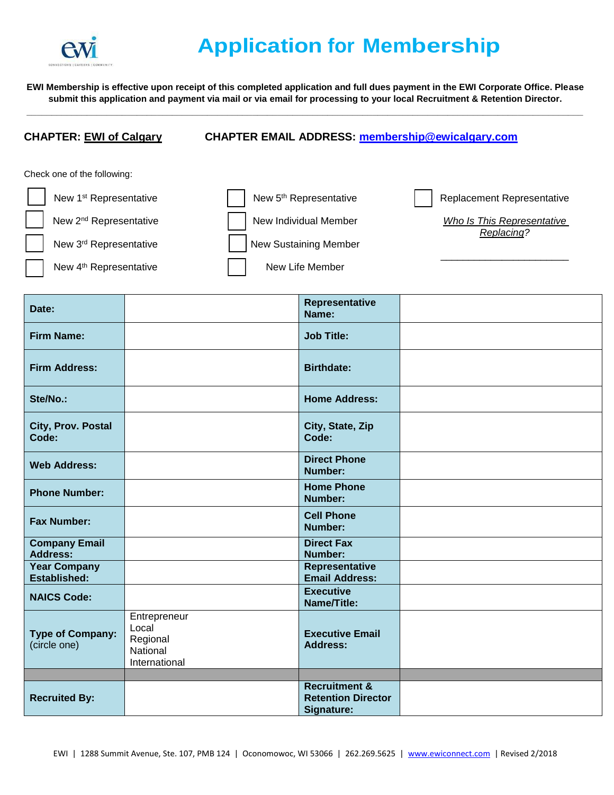

## **Application for Membership**

**EWI Membership is effective upon receipt of this completed application and full dues payment in the EWI Corporate Office. Please submit this application and payment via mail or via email for processing to your local Recruitment & Retention Director. \_\_\_\_\_\_\_\_\_\_\_\_\_\_\_\_\_\_\_\_\_\_\_\_\_\_\_\_\_\_\_\_\_\_\_\_\_\_\_\_\_\_\_\_\_\_\_\_\_\_\_\_\_\_\_\_\_\_\_\_\_\_\_\_\_\_\_\_\_\_\_\_\_\_\_\_\_\_\_\_\_\_\_\_\_\_\_\_\_\_\_\_\_\_\_\_\_\_\_\_\_\_\_\_\_\_\_\_\_\_\_**

## **CHAPTER: EWI of Calgary CHAPTER EMAIL ADDRESS: [membership@ewicalgary.com](mailto:membership@ewicalgary.com)**

Check one of the following:

| New 1 <sup>st</sup> Representative | New 5 <sup>th</sup> Representative | Replacement Representative               |
|------------------------------------|------------------------------------|------------------------------------------|
| New 2 <sup>nd</sup> Representative | New Individual Member              | Who Is This Representative<br>Replacing? |
| New 3rd Representative             | New Sustaining Member              |                                          |
| New 4 <sup>th</sup> Representative | New Life Member                    |                                          |

| Date:                                      |                                                                | Representative<br>Name:                                             |  |
|--------------------------------------------|----------------------------------------------------------------|---------------------------------------------------------------------|--|
| <b>Firm Name:</b>                          |                                                                | <b>Job Title:</b>                                                   |  |
| <b>Firm Address:</b>                       |                                                                | <b>Birthdate:</b>                                                   |  |
| Ste/No.:                                   |                                                                | <b>Home Address:</b>                                                |  |
| City, Prov. Postal<br>Code:                |                                                                | City, State, Zip<br>Code:                                           |  |
| <b>Web Address:</b>                        |                                                                | <b>Direct Phone</b><br>Number:                                      |  |
| <b>Phone Number:</b>                       |                                                                | <b>Home Phone</b><br>Number:                                        |  |
| <b>Fax Number:</b>                         |                                                                | <b>Cell Phone</b><br>Number:                                        |  |
| <b>Company Email</b><br><b>Address:</b>    |                                                                | <b>Direct Fax</b><br>Number:                                        |  |
| <b>Year Company</b><br><b>Established:</b> |                                                                | Representative<br><b>Email Address:</b>                             |  |
| <b>NAICS Code:</b>                         |                                                                | <b>Executive</b><br>Name/Title:                                     |  |
| <b>Type of Company:</b><br>(circle one)    | Entrepreneur<br>Local<br>Regional<br>National<br>International | <b>Executive Email</b><br><b>Address:</b>                           |  |
|                                            |                                                                |                                                                     |  |
| <b>Recruited By:</b>                       |                                                                | <b>Recruitment &amp;</b><br><b>Retention Director</b><br>Signature: |  |